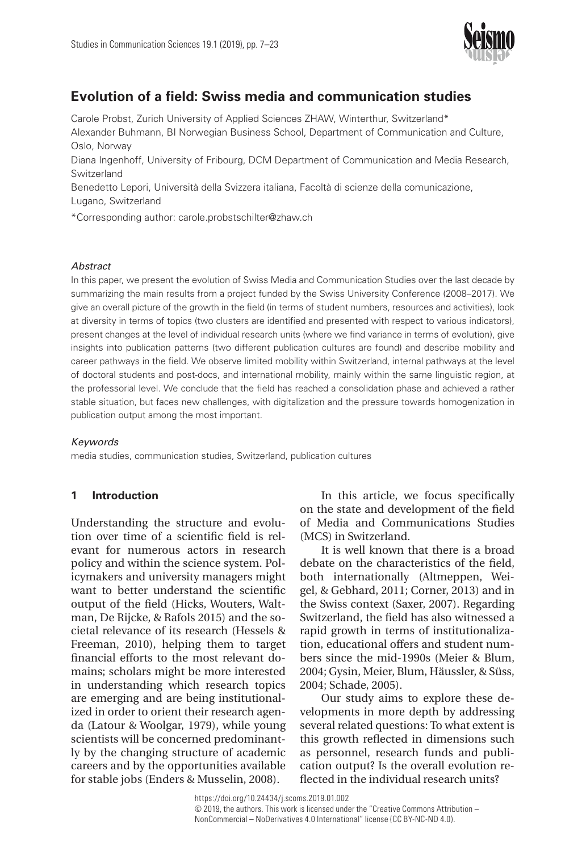

# **Evolution of a field: Swiss media and communication studies**

Carole Probst, Zurich University of Applied Sciences ZHAW, Winterthur, Switzerland\*

Alexander Buhmann, BI Norwegian Business School, Department of Communication and Culture, Oslo, Norway

Diana Ingenhoff, University of Fribourg, DCM Department of Communication and Media Research, Switzerland

Benedetto Lepori, Università della Svizzera italiana, Facoltà di scienze della comunicazione, Lugano, Switzerland

\*Corresponding author: carole.probstschilter@zhaw.ch

### *Abstract*

In this paper, we present the evolution of Swiss Media and Communication Studies over the last decade by summarizing the main results from a project funded by the Swiss University Conference (2008–2017). We give an overall picture of the growth in the field (in terms of student numbers, resources and activities), look at diversity in terms of topics (two clusters are identified and presented with respect to various indicators), present changes at the level of individual research units (where we find variance in terms of evolution), give insights into publication patterns (two different publication cultures are found) and describe mobility and career pathways in the field. We observe limited mobility within Switzerland, internal pathways at the level of doctoral students and post-docs, and international mobility, mainly within the same linguistic region, at the professorial level. We conclude that the field has reached a consolidation phase and achieved a rather stable situation, but faces new challenges, with digitalization and the pressure towards homogenization in publication output among the most important.

### *Keywords*

media studies, communication studies, Switzerland, publication cultures

# **1 Introduction**

Understanding the structure and evolution over time of a scientific field is relevant for numerous actors in research policy and within the science system. Policymakers and university managers might want to better understand the scientific output of the field (Hicks, Wouters, Waltman, De Rijcke, & Rafols 2015) and the societal relevance of its research (Hessels & Freeman, 2010), helping them to target financial efforts to the most relevant domains; scholars might be more interested in understanding which research topics are emerging and are being institutionalized in order to orient their research agenda (Latour & Woolgar, 1979), while young scientists will be concerned predominantly by the changing structure of academic careers and by the opportunities available for stable jobs (Enders & Musselin, 2008).

In this article, we focus specifically on the state and development of the field of Media and Communications Studies (MCS) in Switzerland.

It is well known that there is a broad debate on the characteristics of the field, both internationally (Altmeppen, Weigel, & Gebhard, 2011; Corner, 2013) and in the Swiss context (Saxer, 2007). Regarding Switzerland, the field has also witnessed a rapid growth in terms of institutionalization, educational offers and student numbers since the mid-1990s (Meier & Blum, 2004; Gysin, Meier, Blum, Häussler, & Süss, 2004; Schade, 2005).

Our study aims to explore these developments in more depth by addressing several related questions: To what extent is this growth reflected in dimensions such as personnel, research funds and publication output? Is the overall evolution reflected in the individual research units?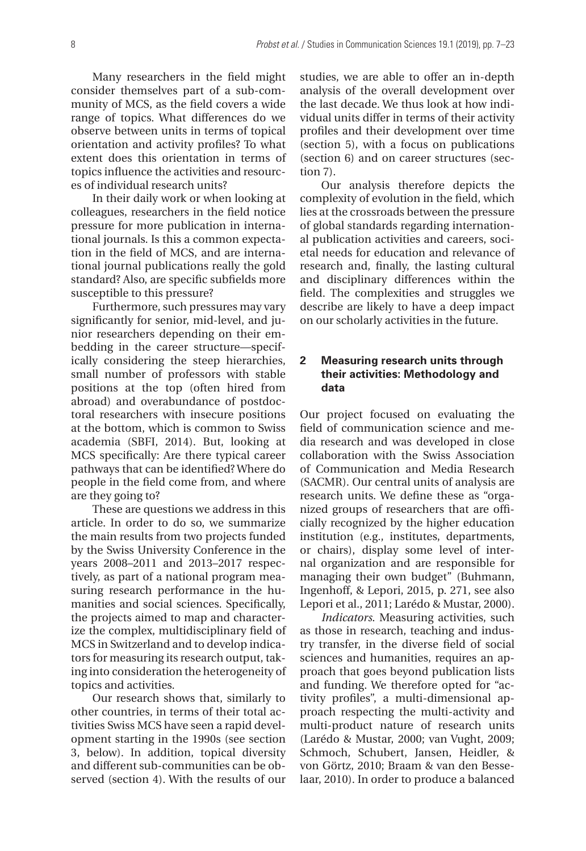Many researchers in the field might consider themselves part of a sub-community of MCS, as the field covers a wide range of topics. What differences do we observe between units in terms of topical orientation and activity profiles? To what extent does this orientation in terms of topics influence the activities and resources of individual research units?

In their daily work or when looking at colleagues, researchers in the field notice pressure for more publication in international journals. Is this a common expectation in the field of MCS, and are international journal publications really the gold standard? Also, are specific subfields more susceptible to this pressure?

Furthermore, such pressures may vary significantly for senior, mid-level, and junior researchers depending on their embedding in the career structure—specifically considering the steep hierarchies, small number of professors with stable positions at the top (often hired from abroad) and overabundance of postdoctoral researchers with insecure positions at the bottom, which is common to Swiss academia (SBFI, 2014). But, looking at MCS specifically: Are there typical career pathways that can be identified? Where do people in the field come from, and where are they going to?

These are questions we address in this article. In order to do so, we summarize the main results from two projects funded by the Swiss University Conference in the years 2008–2011 and 2013–2017 respectively, as part of a national program measuring research performance in the humanities and social sciences. Specifically, the projects aimed to map and characterize the complex, multidisciplinary field of MCS in Switzerland and to develop indicators for measuring its research output, taking into consideration the heterogeneity of topics and activities.

Our research shows that, similarly to other countries, in terms of their total activities Swiss MCS have seen a rapid development starting in the 1990s (see section 3, below). In addition, topical diversity and different sub-communities can be observed (section 4). With the results of our

studies, we are able to offer an in-depth analysis of the overall development over the last decade. We thus look at how individual units differ in terms of their activity profiles and their development over time (section 5), with a focus on publications (section 6) and on career structures (section 7).

Our analysis therefore depicts the complexity of evolution in the field, which lies at the crossroads between the pressure of global standards regarding international publication activities and careers, societal needs for education and relevance of research and, finally, the lasting cultural and disciplinary differences within the field. The complexities and struggles we describe are likely to have a deep impact on our scholarly activities in the future.

# **2 Measuring research units through their activities: Methodology and data**

Our project focused on evaluating the field of communication science and media research and was developed in close collaboration with the Swiss Association of Communication and Media Research (SACMR). Our central units of analysis are research units. We define these as "organized groups of researchers that are officially recognized by the higher education institution (e.g., institutes, departments, or chairs), display some level of internal organization and are responsible for managing their own budget" (Buhmann, Ingenhoff, & Lepori, 2015, p. 271, see also Lepori et al., 2011; Larédo & Mustar, 2000).

*Indicators*. Measuring activities, such as those in research, teaching and industry transfer, in the diverse field of social sciences and humanities, requires an approach that goes beyond publication lists and funding. We therefore opted for "activity profiles", a multi-dimensional approach respecting the multi-activity and multi-product nature of research units (Larédo & Mustar, 2000; van Vught, 2009; Schmoch, Schubert, Jansen, Heidler, & von Görtz, 2010; Braam & van den Besselaar, 2010). In order to produce a balanced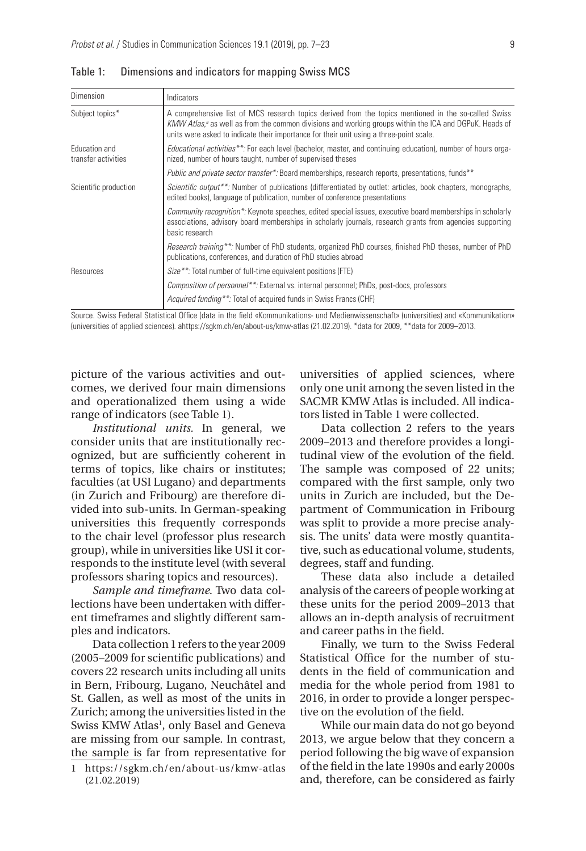| Dimension                                   | Indicators                                                                                                                                                                                                                                                                                                            |  |  |  |  |
|---------------------------------------------|-----------------------------------------------------------------------------------------------------------------------------------------------------------------------------------------------------------------------------------------------------------------------------------------------------------------------|--|--|--|--|
| Subject topics*                             | A comprehensive list of MCS research topics derived from the topics mentioned in the so-called Swiss<br>KMW Atlas, <sup>a</sup> as well as from the common divisions and working groups within the ICA and DGPuK. Heads of<br>units were asked to indicate their importance for their unit using a three-point scale. |  |  |  |  |
| <b>Fducation and</b><br>transfer activities | <i>Educational activities</i> **. For each level (bachelor, master, and continuing education), number of hours orga-<br>nized, number of hours taught, number of supervised theses                                                                                                                                    |  |  |  |  |
|                                             | <i>Public and private sector transfer*:</i> Board memberships, research reports, presentations, funds**                                                                                                                                                                                                               |  |  |  |  |
| Scientific production                       | <i>Scientific output</i> **. Number of publications (differentiated by outlet: articles, book chapters, monographs,<br>edited books), language of publication, number of conference presentations                                                                                                                     |  |  |  |  |
|                                             | Community recognition*: Keynote speeches, edited special issues, executive board memberships in scholarly<br>associations, advisory board memberships in scholarly journals, research grants from agencies supporting<br>basic research                                                                               |  |  |  |  |
|                                             | <i>Research training</i> **: Number of PhD students, organized PhD courses, finished PhD theses, number of PhD<br>publications, conferences, and duration of PhD studies abroad                                                                                                                                       |  |  |  |  |
| Resources                                   | <i>Size</i> **: Total number of full-time equivalent positions (FTE)                                                                                                                                                                                                                                                  |  |  |  |  |
|                                             | Composition of personnel**: External vs. internal personnel; PhDs, post-docs, professors                                                                                                                                                                                                                              |  |  |  |  |
|                                             | Acquired funding**: Total of acquired funds in Swiss Francs (CHF)                                                                                                                                                                                                                                                     |  |  |  |  |

Table 1: Dimensions and indicators for mapping Swiss MCS

Source. Swiss Federal Statistical Office (data in the field «Kommunikations- und Medienwissenschaft» (universities) and «Kommunikation» (universities of applied sciences). ahttps://sgkm.ch/en/about-us/kmw-atlas (21.02.2019). \*data for 2009, \*\*data for 2009–2013.

picture of the various activities and outcomes, we derived four main dimensions and operationalized them using a wide range of indicators (see Table 1).

*Institutional units.* In general, we consider units that are institutionally recognized, but are sufficiently coherent in terms of topics, like chairs or institutes; faculties (at USI Lugano) and departments (in Zurich and Fribourg) are therefore divided into sub-units. In German-speaking universities this frequently corresponds to the chair level (professor plus research group), while in universities like USI it corresponds to the institute level (with several professors sharing topics and resources).

*Sample and timeframe*. Two data collections have been undertaken with different timeframes and slightly different samples and indicators.

Data collection 1 refers to the year 2009 (2005–2009 for scientific publications) and covers 22 research units including all units in Bern, Fribourg, Lugano, Neuchâtel and St. Gallen, as well as most of the units in Zurich; among the universities listed in the Swiss KMW Atlas<sup>1</sup>, only Basel and Geneva are missing from our sample. In contrast, the sample is far from representative for

universities of applied sciences, where only one unit among the seven listed in the SACMR KMW Atlas is included. All indicators listed in Table 1 were collected.

Data collection 2 refers to the years 2009–2013 and therefore provides a longitudinal view of the evolution of the field. The sample was composed of 22 units; compared with the first sample, only two units in Zurich are included, but the Department of Communication in Fribourg was split to provide a more precise analysis. The units' data were mostly quantitative, such as educational volume, students, degrees, staff and funding.

These data also include a detailed analysis of the careers of people working at these units for the period 2009–2013 that allows an in-depth analysis of recruitment and career paths in the field.

Finally, we turn to the Swiss Federal Statistical Office for the number of students in the field of communication and media for the whole period from 1981 to 2016, in order to provide a longer perspective on the evolution of the field.

While our main data do not go beyond 2013, we argue below that they concern a period following the big wave of expansion of the field in the late 1990s and early 2000s and, therefore, can be considered as fairly

<sup>1</sup> <https://sgkm.ch/en/about-us/kmw-atlas> (21.02.2019)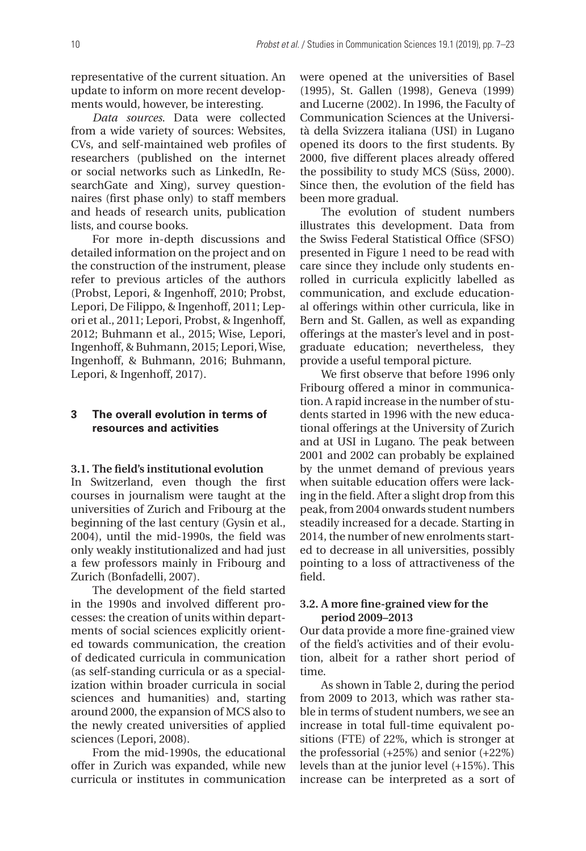representative of the current situation. An update to inform on more recent developments would, however, be interesting.

*Data sources*. Data were collected from a wide variety of sources: Websites, CVs, and self-maintained web profiles of researchers (published on the internet or social networks such as LinkedIn, ResearchGate and Xing), survey questionnaires (first phase only) to staff members and heads of research units, publication lists, and course books.

For more in-depth discussions and detailed information on the project and on the construction of the instrument, please refer to previous articles of the authors (Probst, Lepori, & Ingenhoff, 2010; Probst, Lepori, De Filippo, & Ingenhoff, 2011; Lepori et al., 2011; Lepori, Probst, & Ingenhoff, 2012; Buhmann et al., 2015; Wise, Lepori, Ingenhoff, & Buhmann, 2015; Lepori, Wise, Ingenhoff, & Buhmann, 2016; Buhmann, Lepori, & Ingenhoff, 2017).

## **3 The overall evolution in terms of resources and activities**

### **3.1. The field's institutional evolution**

In Switzerland, even though the first courses in journalism were taught at the universities of Zurich and Fribourg at the beginning of the last century (Gysin et al., 2004), until the mid-1990s, the field was only weakly institutionalized and had just a few professors mainly in Fribourg and Zurich (Bonfadelli, 2007).

The development of the field started in the 1990s and involved different processes: the creation of units within departments of social sciences explicitly oriented towards communication, the creation of dedicated curricula in communication (as self-standing curricula or as a specialization within broader curricula in social sciences and humanities) and, starting around 2000, the expansion of MCS also to the newly created universities of applied sciences (Lepori, 2008).

From the mid-1990s, the educational offer in Zurich was expanded, while new curricula or institutes in communication

were opened at the universities of Basel (1995), St. Gallen (1998), Geneva (1999) and Lucerne (2002). In 1996, the Faculty of Communication Sciences at the Università della Svizzera italiana (USI) in Lugano opened its doors to the first students. By 2000, five different places already offered the possibility to study MCS (Süss, 2000). Since then, the evolution of the field has been more gradual.

The evolution of student numbers illustrates this development. Data from the Swiss Federal Statistical Office (SFSO) presented in Figure 1 need to be read with care since they include only students enrolled in curricula explicitly labelled as communication, and exclude educational offerings within other curricula, like in Bern and St. Gallen, as well as expanding offerings at the master's level and in postgraduate education; nevertheless, they provide a useful temporal picture.

We first observe that before 1996 only Fribourg offered a minor in communication. A rapid increase in the number of students started in 1996 with the new educational offerings at the University of Zurich and at USI in Lugano. The peak between 2001 and 2002 can probably be explained by the unmet demand of previous years when suitable education offers were lacking in the field. After a slight drop from this peak, from 2004 onwards student numbers steadily increased for a decade. Starting in 2014, the number of new enrolments started to decrease in all universities, possibly pointing to a loss of attractiveness of the field.

## **3.2. A more fine-grained view for the period 2009–2013**

Our data provide a more fine-grained view of the field's activities and of their evolution, albeit for a rather short period of time.

As shown in Table 2, during the period from 2009 to 2013, which was rather stable in terms of student numbers, we see an increase in total full-time equivalent positions (FTE) of 22%, which is stronger at the professorial (+25%) and senior (+22%) levels than at the junior level (+15%). This increase can be interpreted as a sort of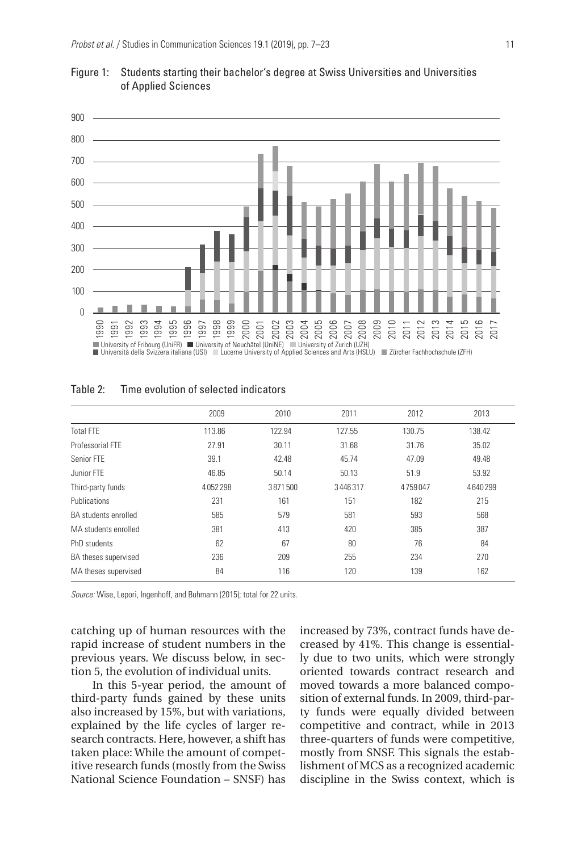



|                      | 2009    | 2010    | 2011           | 2012    | 2013    |
|----------------------|---------|---------|----------------|---------|---------|
| <b>Total FTF</b>     | 113.86  | 122.94  | 127.55         | 130.75  | 138.42  |
| Professorial FTF     | 27.91   | 30.11   | 31.68<br>31.76 |         | 35.02   |
| Senior FTE           | 39.1    | 42.48   | 45.74          | 47.09   | 49.48   |
| Junior FTF           | 46.85   | 50.14   | 50.13          | 51.9    | 53.92   |
| Third-party funds    | 4052298 | 3871500 | 3446317        | 4759047 | 4640299 |
| Publications         | 231     | 161     | 151            | 182     | 215     |
| BA students enrolled | 585     | 579     | 581            | 593     | 568     |
| MA students enrolled | 381     | 413     | 420            | 385     | 387     |
| PhD students         | 62      | 67      | 80             | 76      | 84      |
| BA theses supervised | 236     | 209     | 255            | 234     | 270     |
| MA theses supervised | 84      | 116     | 120            | 139     | 162     |

*Source:* Wise, Lepori, Ingenhoff, and Buhmann (2015); total for 22 units.

catching up of human resources with the rapid increase of student numbers in the previous years. We discuss below, in section 5, the evolution of individual units.

In this 5-year period, the amount of third-party funds gained by these units also increased by 15%, but with variations, explained by the life cycles of larger research contracts. Here, however, a shift has taken place: While the amount of competitive research funds (mostly from the Swiss National Science Foundation – SNSF) has

increased by 73%, contract funds have decreased by 41%. This change is essentially due to two units, which were strongly oriented towards contract research and moved towards a more balanced composition of external funds. In 2009, third-party funds were equally divided between competitive and contract, while in 2013 three-quarters of funds were competitive, mostly from SNSF. This signals the establishment of MCS as a recognized academic discipline in the Swiss context, which is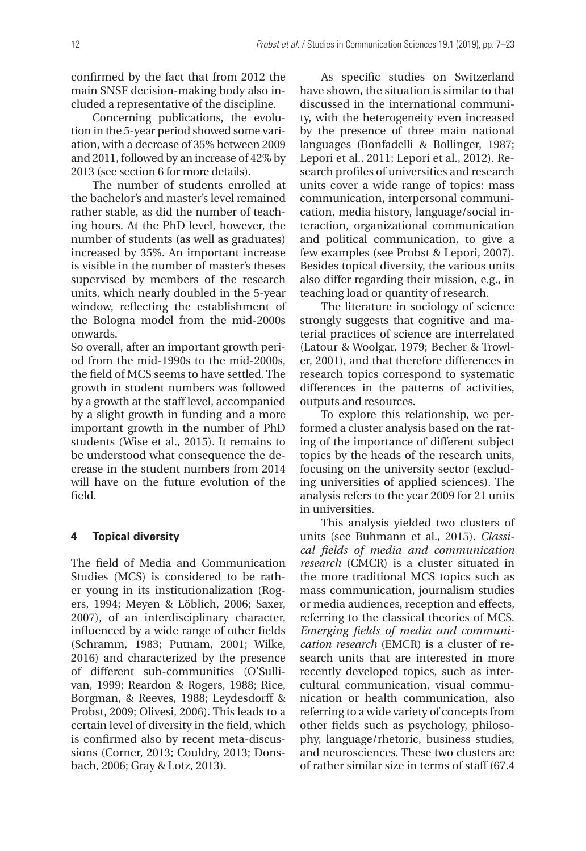confirmed by the fact that from 2012 the main SNSF decision-making body also included a representative of the discipline.

Concerning publications, the evolution in the 5-year period showed some variation, with a decrease of 35% between 2009 and 2011, followed by an increase of 42% by 2013 (see section 6 for more details).

The number of students enrolled at the bachelor's and master's level remained rather stable, as did the number of teaching hours. At the PhD level, however, the number of students (as well as graduates) increased by 35%. An important increase is visible in the number of master's theses supervised by members of the research units, which nearly doubled in the 5-year window, reflecting the establishment of the Bologna model from the mid-2000s onwards.

So overall, after an important growth period from the mid-1990s to the mid-2000s, the field of MCS seems to have settled. The growth in student numbers was followed by a growth at the staff level, accompanied by a slight growth in funding and a more important growth in the number of PhD students (Wise et al., 2015). It remains to be understood what consequence the decrease in the student numbers from 2014 will have on the future evolution of the field.

### **4 Topical diversity**

The field of Media and Communication Studies (MCS) is considered to be rather young in its institutionalization (Rogers, 1994; Meyen & Löblich, 2006; Saxer, 2007), of an interdisciplinary character, influenced by a wide range of other fields (Schramm, 1983; Putnam, 2001; Wilke, 2016) and characterized by the presence of different sub-communities (O'Sullivan, 1999; Reardon & Rogers, 1988; Rice, Borgman, & Reeves, 1988; Leydesdorff & Probst, 2009; Olivesi, 2006). This leads to a certain level of diversity in the field, which is confirmed also by recent meta-discussions (Corner, 2013; Couldry, 2013; Donsbach, 2006; Gray & Lotz, 2013).

As specific studies on Switzerland have shown, the situation is similar to that discussed in the international community, with the heterogeneity even increased by the presence of three main national languages (Bonfadelli & Bollinger, 1987; Lepori et al., 2011; Lepori et al., 2012). Research profiles of universities and research units cover a wide range of topics: mass communication, interpersonal communication, media history, language/social interaction, organizational communication and political communication, to give a few examples (see Probst & Lepori, 2007). Besides topical diversity, the various units also differ regarding their mission, e.g., in teaching load or quantity of research.

The literature in sociology of science strongly suggests that cognitive and material practices of science are interrelated (Latour & Woolgar, 1979; Becher & Trowler, 2001), and that therefore differences in research topics correspond to systematic differences in the patterns of activities, outputs and resources.

To explore this relationship, we performed a cluster analysis based on the rating of the importance of different subject topics by the heads of the research units, focusing on the university sector (excluding universities of applied sciences). The analysis refers to the year 2009 for 21 units in universities.

This analysis yielded two clusters of units (see Buhmann et al., 2015). *Classical fields of media and communication research* (CMCR) is a cluster situated in the more traditional MCS topics such as mass communication, journalism studies or media audiences, reception and effects, referring to the classical theories of MCS. *Emerging fields of media and communication research* (EMCR) is a cluster of research units that are interested in more recently developed topics, such as intercultural communication, visual communication or health communication, also referring to a wide variety of concepts from other fields such as psychology, philosophy, language/rhetoric, business studies, and neurosciences. These two clusters are of rather similar size in terms of staff (67.4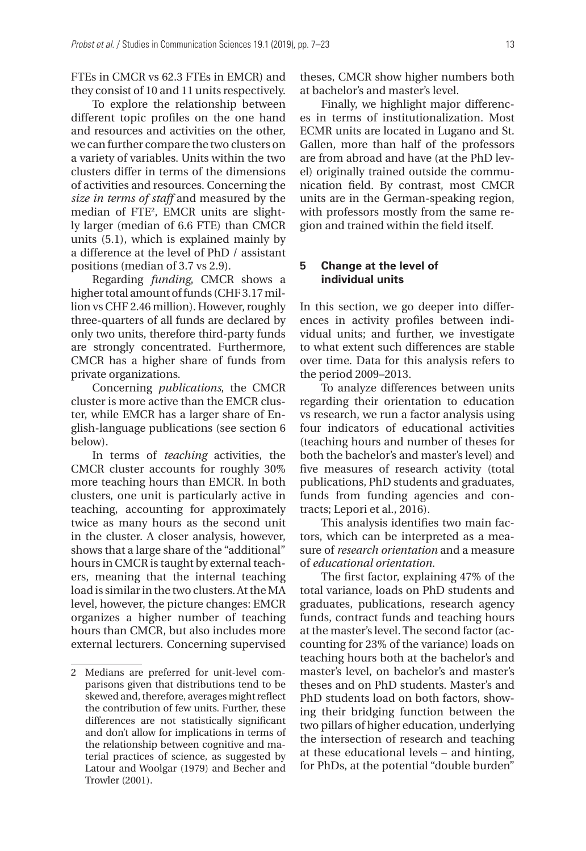FTEs in CMCR vs 62.3 FTEs in EMCR) and they consist of 10 and 11 units respectively.

To explore the relationship between different topic profiles on the one hand and resources and activities on the other, we can further compare the two clusters on a variety of variables. Units within the two clusters differ in terms of the dimensions of activities and resources. Concerning the *size in terms of staff* and measured by the median of FTE2 , EMCR units are slightly larger (median of 6.6 FTE) than CMCR units (5.1), which is explained mainly by a difference at the level of PhD / assistant positions (median of 3.7 vs 2.9).

Regarding *funding*, CMCR shows a higher total amount of funds (CHF 3.17 million vs CHF 2.46 million). However, roughly three-quarters of all funds are declared by only two units, therefore third-party funds are strongly concentrated. Furthermore, CMCR has a higher share of funds from private organizations.

Concerning *publications*, the CMCR cluster is more active than the EMCR cluster, while EMCR has a larger share of English-language publications (see section 6 below).

In terms of *teaching* activities, the CMCR cluster accounts for roughly 30% more teaching hours than EMCR. In both clusters, one unit is particularly active in teaching, accounting for approximately twice as many hours as the second unit in the cluster. A closer analysis, however, shows that a large share of the "additional" hours in CMCR is taught by external teachers, meaning that the internal teaching load is similar in the two clusters. At the MA level, however, the picture changes: EMCR organizes a higher number of teaching hours than CMCR, but also includes more external lecturers. Concerning supervised theses, CMCR show higher numbers both at bachelor's and master's level.

Finally, we highlight major differences in terms of institutionalization. Most ECMR units are located in Lugano and St. Gallen, more than half of the professors are from abroad and have (at the PhD level) originally trained outside the communication field. By contrast, most CMCR units are in the German-speaking region, with professors mostly from the same region and trained within the field itself.

#### **5 Change at the level of individual units**

In this section, we go deeper into differences in activity profiles between individual units; and further, we investigate to what extent such differences are stable over time. Data for this analysis refers to the period 2009–2013.

To analyze differences between units regarding their orientation to education vs research, we run a factor analysis using four indicators of educational activities (teaching hours and number of theses for both the bachelor's and master's level) and five measures of research activity (total publications, PhD students and graduates, funds from funding agencies and contracts; Lepori et al., 2016).

This analysis identifies two main factors, which can be interpreted as a measure of *research orientation* and a measure of *educational orientation.*

The first factor, explaining 47% of the total variance, loads on PhD students and graduates, publications, research agency funds, contract funds and teaching hours at the master's level. The second factor (accounting for 23% of the variance) loads on teaching hours both at the bachelor's and master's level, on bachelor's and master's theses and on PhD students. Master's and PhD students load on both factors, showing their bridging function between the two pillars of higher education, underlying the intersection of research and teaching at these educational levels – and hinting, for PhDs, at the potential "double burden"

<sup>2</sup> Medians are preferred for unit-level comparisons given that distributions tend to be skewed and, therefore, averages might reflect the contribution of few units. Further, these differences are not statistically significant and don't allow for implications in terms of the relationship between cognitive and material practices of science, as suggested by Latour and Woolgar (1979) and Becher and Trowler (2001).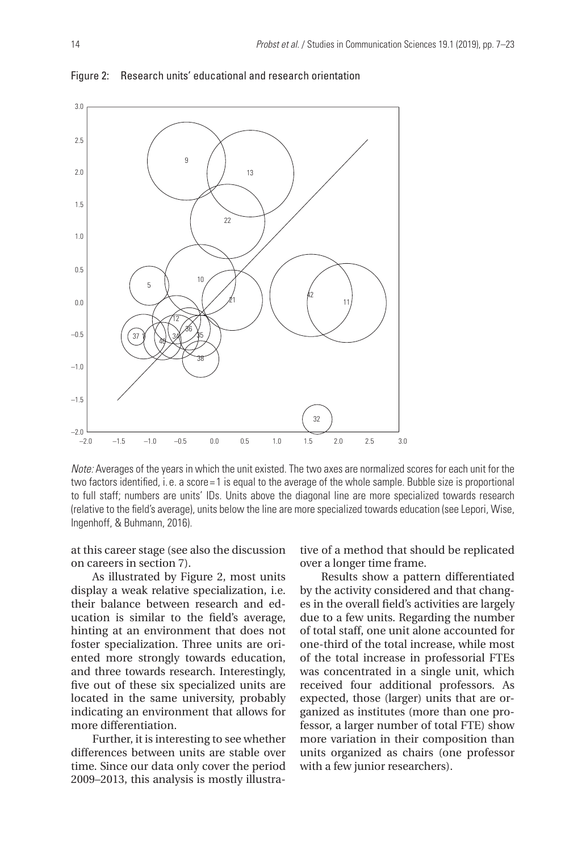

Figure 2: Research units' educational and research orientation

*Note:* Averages of the years in which the unit existed. The two axes are normalized scores for each unit for the two factors identified, i.e. a score = 1 is equal to the average of the whole sample. Bubble size is proportional to full staff; numbers are units' IDs. Units above the diagonal line are more specialized towards research (relative to the field's average), units below the line are more specialized towards education (see Lepori, Wise, Ingenhoff, & Buhmann, 2016).

at this career stage (see also the discussion on careers in section 7).

As illustrated by Figure 2, most units display a weak relative specialization, i.e. their balance between research and education is similar to the field's average, hinting at an environment that does not foster specialization. Three units are oriented more strongly towards education, and three towards research. Interestingly, five out of these six specialized units are located in the same university, probably indicating an environment that allows for more differentiation.

Further, it is interesting to see whether differences between units are stable over time. Since our data only cover the period 2009–2013, this analysis is mostly illustrative of a method that should be replicated over a longer time frame.

Results show a pattern differentiated by the activity considered and that changes in the overall field's activities are largely due to a few units. Regarding the number of total staff, one unit alone accounted for one-third of the total increase, while most of the total increase in professorial FTEs was concentrated in a single unit, which received four additional professors. As expected, those (larger) units that are organized as institutes (more than one professor, a larger number of total FTE) show more variation in their composition than units organized as chairs (one professor with a few junior researchers).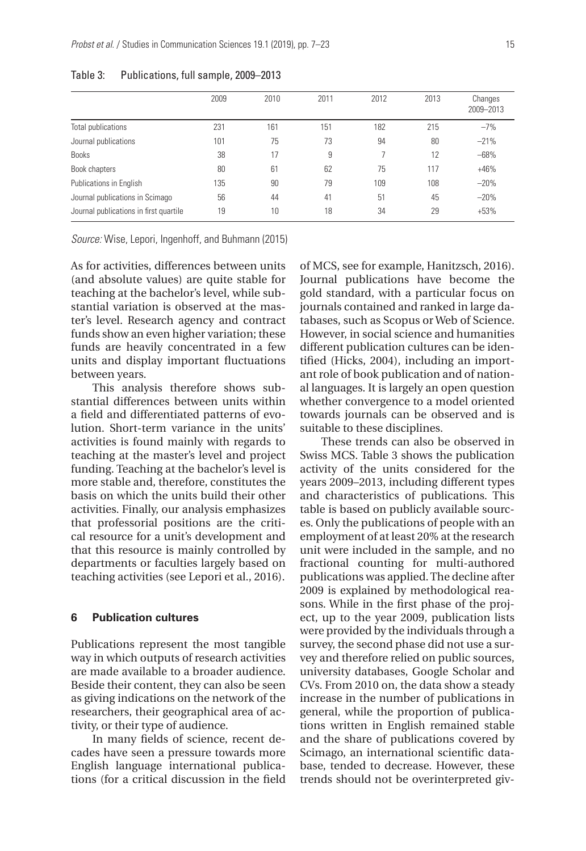|                                        | 2009 | 2010 | 2011 | 2012 | 2013 | Changes<br>2009-2013 |
|----------------------------------------|------|------|------|------|------|----------------------|
| Total publications                     | 231  | 161  | 151  | 182  | 215  | $-7%$                |
| Journal publications                   | 101  | 75   | 73   | 94   | 80   | $-21%$               |
| <b>Books</b>                           | 38   | 17   | 9    |      | 12   | $-68%$               |
| Book chapters                          | 80   | 61   | 62   | 75   | 117  | $+46%$               |
| Publications in English                | 135  | 90   | 79   | 109  | 108  | $-20%$               |
| Journal publications in Scimago        | 56   | 44   | 41   | 51   | 45   | $-20%$               |
| Journal publications in first quartile | 19   | 10   | 18   | 34   | 29   | $+53%$               |

#### Table 3: Publications, full sample, 2009–2013

*Source:* Wise, Lepori, Ingenhoff, and Buhmann (2015)

As for activities, differences between units (and absolute values) are quite stable for teaching at the bachelor's level, while substantial variation is observed at the master's level. Research agency and contract funds show an even higher variation; these funds are heavily concentrated in a few units and display important fluctuations between years.

This analysis therefore shows substantial differences between units within a field and differentiated patterns of evolution. Short-term variance in the units' activities is found mainly with regards to teaching at the master's level and project funding. Teaching at the bachelor's level is more stable and, therefore, constitutes the basis on which the units build their other activities. Finally, our analysis emphasizes that professorial positions are the critical resource for a unit's development and that this resource is mainly controlled by departments or faculties largely based on teaching activities (see Lepori et al., 2016).

# **6 Publication cultures**

Publications represent the most tangible way in which outputs of research activities are made available to a broader audience. Beside their content, they can also be seen as giving indications on the network of the researchers, their geographical area of activity, or their type of audience.

In many fields of science, recent decades have seen a pressure towards more English language international publications (for a critical discussion in the field

of MCS, see for example, Hanitzsch, 2016). Journal publications have become the gold standard, with a particular focus on journals contained and ranked in large databases, such as Scopus or Web of Science. However, in social science and humanities different publication cultures can be identified (Hicks, 2004), including an important role of book publication and of national languages. It is largely an open question whether convergence to a model oriented towards journals can be observed and is suitable to these disciplines.

These trends can also be observed in Swiss MCS. Table 3 shows the publication activity of the units considered for the years 2009–2013, including different types and characteristics of publications. This table is based on publicly available sources. Only the publications of people with an employment of at least 20% at the research unit were included in the sample, and no fractional counting for multi-authored publications was applied. The decline after 2009 is explained by methodological reasons. While in the first phase of the project, up to the year 2009, publication lists were provided by the individuals through a survey, the second phase did not use a survey and therefore relied on public sources, university databases, Google Scholar and CVs. From 2010 on, the data show a steady increase in the number of publications in general, while the proportion of publications written in English remained stable and the share of publications covered by Scimago, an international scientific database, tended to decrease. However, these trends should not be overinterpreted giv-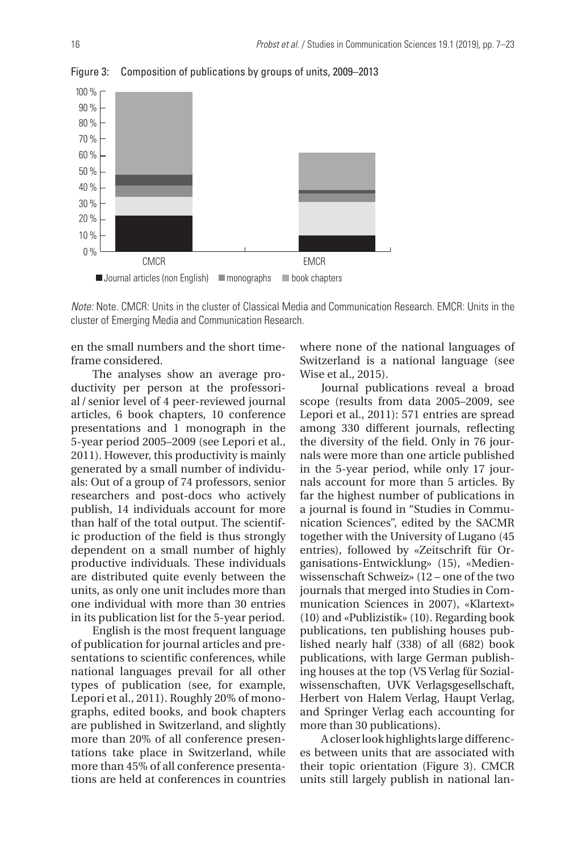

Figure 3: Composition of publications by groups of units, 2009–2013

*Note:* Note. CMCR: Units in the cluster of Classical Media and Communication Research. EMCR: Units in the cluster of Emerging Media and Communication Research.

en the small numbers and the short timeframe considered.

The analyses show an average productivity per person at the professorial / senior level of 4 peer-reviewed journal articles, 6 book chapters, 10 conference presentations and 1 monograph in the 5-year period 2005–2009 (see Lepori et al., 2011). However, this productivity is mainly generated by a small number of individuals: Out of a group of 74 professors, senior researchers and post-docs who actively publish, 14 individuals account for more than half of the total output. The scientific production of the field is thus strongly dependent on a small number of highly productive individuals. These individuals are distributed quite evenly between the units, as only one unit includes more than one individual with more than 30 entries in its publication list for the 5-year period.

English is the most frequent language of publication for journal articles and presentations to scientific conferences, while national languages prevail for all other types of publication (see, for example, Lepori et al., 2011). Roughly 20% of monographs, edited books, and book chapters are published in Switzerland, and slightly more than 20% of all conference presentations take place in Switzerland, while more than 45% of all conference presentations are held at conferences in countries

where none of the national languages of Switzerland is a national language (see Wise et al., 2015).

Journal publications reveal a broad scope (results from data 2005–2009, see Lepori et al., 2011): 571 entries are spread among 330 different journals, reflecting the diversity of the field. Only in 76 journals were more than one article published in the 5-year period, while only 17 journals account for more than 5 articles. By far the highest number of publications in a journal is found in "Studies in Communication Sciences", edited by the SACMR together with the University of Lugano (45 entries), followed by «Zeitschrift für Organisations-Entwicklung» (15), «Medienwissenschaft Schweiz» (12 – one of the two journals that merged into Studies in Communication Sciences in 2007), «Klartext» (10) and «Publizistik» (10). Regarding book publications, ten publishing houses published nearly half (338) of all (682) book publications, with large German publishing houses at the top (VS Verlag für Sozialwissenschaften, UVK Verlagsgesellschaft, Herbert von Halem Verlag, Haupt Verlag, and Springer Verlag each accounting for more than 30 publications).

A closer look highlights large differences between units that are associated with their topic orientation (Figure 3). CMCR units still largely publish in national lan-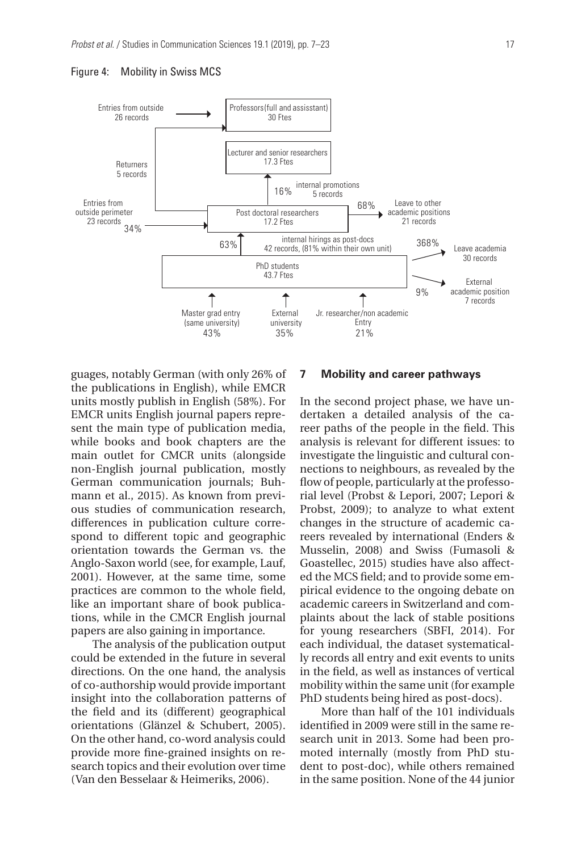



guages, notably German (with only 26% of the publications in English), while EMCR units mostly publish in English (58%). For EMCR units English journal papers represent the main type of publication media, while books and book chapters are the main outlet for CMCR units (alongside non-English journal publication, mostly German communication journals; Buhmann et al., 2015). As known from previous studies of communication research, differences in publication culture correspond to different topic and geographic orientation towards the German vs. the Anglo-Saxon world (see, for example, Lauf, 2001). However, at the same time, some practices are common to the whole field, like an important share of book publications, while in the CMCR English journal papers are also gaining in importance.

The analysis of the publication output could be extended in the future in several directions. On the one hand, the analysis of co-authorship would provide important insight into the collaboration patterns of the field and its (different) geographical orientations (Glänzel & Schubert, 2005). On the other hand, co-word analysis could provide more fine-grained insights on research topics and their evolution over time (Van den Besselaar & Heimeriks, 2006).

#### **7 Mobility and career pathways**

In the second project phase, we have undertaken a detailed analysis of the career paths of the people in the field. This analysis is relevant for different issues: to investigate the linguistic and cultural connections to neighbours, as revealed by the flow of people, particularly at the professorial level (Probst & Lepori, 2007; Lepori & Probst, 2009); to analyze to what extent changes in the structure of academic careers revealed by international (Enders & Musselin, 2008) and Swiss (Fumasoli & Goastellec, 2015) studies have also affected the MCS field; and to provide some empirical evidence to the ongoing debate on academic careers in Switzerland and complaints about the lack of stable positions for young researchers (SBFI, 2014). For each individual, the dataset systematically records all entry and exit events to units in the field, as well as instances of vertical mobility within the same unit (for example PhD students being hired as post-docs).

More than half of the 101 individuals identified in 2009 were still in the same research unit in 2013. Some had been promoted internally (mostly from PhD student to post-doc), while others remained in the same position. None of the 44 junior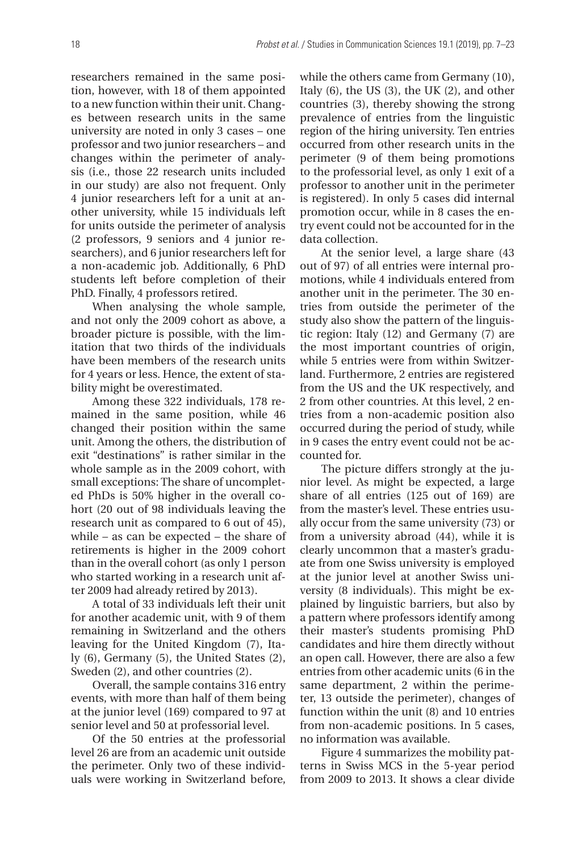researchers remained in the same position, however, with 18 of them appointed to a new function within their unit. Changes between research units in the same university are noted in only 3 cases – one professor and two junior researchers – and changes within the perimeter of analysis (i.e., those 22 research units included in our study) are also not frequent. Only 4 junior researchers left for a unit at another university, while 15 individuals left for units outside the perimeter of analysis (2 professors, 9 seniors and 4 junior researchers), and 6 junior researchers left for a non-academic job. Additionally, 6 PhD students left before completion of their PhD. Finally, 4 professors retired.

When analysing the whole sample, and not only the 2009 cohort as above, a broader picture is possible, with the limitation that two thirds of the individuals have been members of the research units for 4 years or less. Hence, the extent of stability might be overestimated.

Among these 322 individuals, 178 remained in the same position, while 46 changed their position within the same unit. Among the others, the distribution of exit "destinations" is rather similar in the whole sample as in the 2009 cohort, with small exceptions: The share of uncompleted PhDs is 50% higher in the overall cohort (20 out of 98 individuals leaving the research unit as compared to 6 out of 45), while – as can be expected – the share of retirements is higher in the 2009 cohort than in the overall cohort (as only 1 person who started working in a research unit after 2009 had already retired by 2013).

A total of 33 individuals left their unit for another academic unit, with 9 of them remaining in Switzerland and the others leaving for the United Kingdom (7), Italy (6), Germany (5), the United States (2), Sweden (2), and other countries (2).

Overall, the sample contains 316 entry events, with more than half of them being at the junior level (169) compared to 97 at senior level and 50 at professorial level.

Of the 50 entries at the professorial level 26 are from an academic unit outside the perimeter. Only two of these individuals were working in Switzerland before,

while the others came from Germany (10), Italy (6), the US (3), the UK (2), and other countries (3), thereby showing the strong prevalence of entries from the linguistic region of the hiring university. Ten entries occurred from other research units in the perimeter (9 of them being promotions to the professorial level, as only 1 exit of a professor to another unit in the perimeter is registered). In only 5 cases did internal promotion occur, while in 8 cases the entry event could not be accounted for in the data collection.

At the senior level, a large share (43 out of 97) of all entries were internal promotions, while 4 individuals entered from another unit in the perimeter. The 30 entries from outside the perimeter of the study also show the pattern of the linguistic region: Italy (12) and Germany (7) are the most important countries of origin, while 5 entries were from within Switzerland. Furthermore, 2 entries are registered from the US and the UK respectively, and 2 from other countries. At this level, 2 entries from a non-academic position also occurred during the period of study, while in 9 cases the entry event could not be accounted for.

The picture differs strongly at the junior level. As might be expected, a large share of all entries (125 out of 169) are from the master's level. These entries usually occur from the same university (73) or from a university abroad (44), while it is clearly uncommon that a master's graduate from one Swiss university is employed at the junior level at another Swiss university (8 individuals). This might be explained by linguistic barriers, but also by a pattern where professors identify among their master's students promising PhD candidates and hire them directly without an open call. However, there are also a few entries from other academic units (6 in the same department, 2 within the perimeter, 13 outside the perimeter), changes of function within the unit (8) and 10 entries from non-academic positions. In 5 cases, no information was available.

Figure 4 summarizes the mobility patterns in Swiss MCS in the 5-year period from 2009 to 2013. It shows a clear divide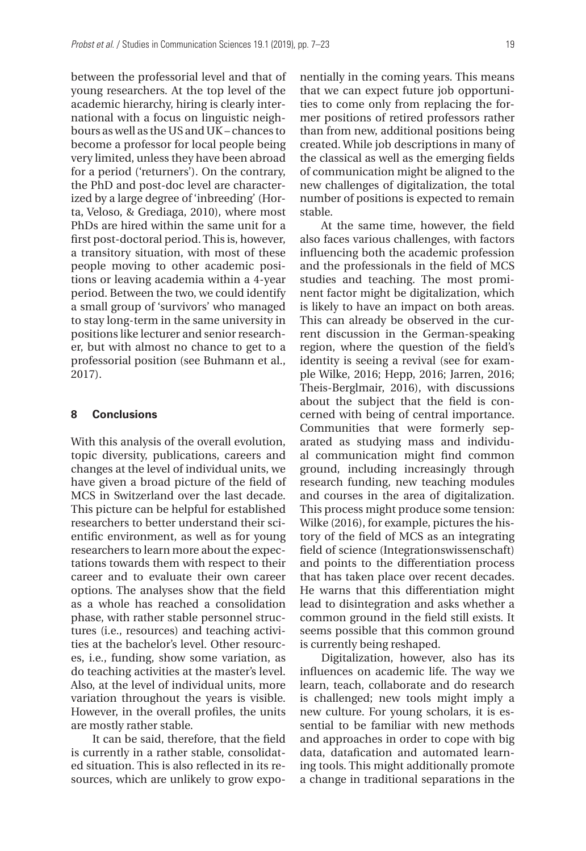between the professorial level and that of young researchers. At the top level of the academic hierarchy, hiring is clearly international with a focus on linguistic neighbours as well as the US and UK– chances to become a professor for local people being very limited, unless they have been abroad for a period ('returners'). On the contrary, the PhD and post-doc level are characterized by a large degree of 'inbreeding' (Horta, Veloso, & Grediaga, 2010), where most PhDs are hired within the same unit for a first post-doctoral period. This is, however, a transitory situation, with most of these people moving to other academic positions or leaving academia within a 4-year period. Between the two, we could identify a small group of 'survivors' who managed to stay long-term in the same university in positions like lecturer and senior researcher, but with almost no chance to get to a professorial position (see Buhmann et al., 2017).

#### **8 Conclusions**

With this analysis of the overall evolution, topic diversity, publications, careers and changes at the level of individual units, we have given a broad picture of the field of MCS in Switzerland over the last decade. This picture can be helpful for established researchers to better understand their scientific environment, as well as for young researchers to learn more about the expectations towards them with respect to their career and to evaluate their own career options. The analyses show that the field as a whole has reached a consolidation phase, with rather stable personnel structures (i.e., resources) and teaching activities at the bachelor's level. Other resources, i.e., funding, show some variation, as do teaching activities at the master's level. Also, at the level of individual units, more variation throughout the years is visible. However, in the overall profiles, the units are mostly rather stable.

It can be said, therefore, that the field is currently in a rather stable, consolidated situation. This is also reflected in its resources, which are unlikely to grow exponentially in the coming years. This means that we can expect future job opportunities to come only from replacing the former positions of retired professors rather than from new, additional positions being created. While job descriptions in many of the classical as well as the emerging fields of communication might be aligned to the new challenges of digitalization, the total number of positions is expected to remain stable.

At the same time, however, the field also faces various challenges, with factors influencing both the academic profession and the professionals in the field of MCS studies and teaching. The most prominent factor might be digitalization, which is likely to have an impact on both areas. This can already be observed in the current discussion in the German-speaking region, where the question of the field's identity is seeing a revival (see for example Wilke, 2016; Hepp, 2016; Jarren, 2016; Theis-Berglmair, 2016), with discussions about the subject that the field is concerned with being of central importance. Communities that were formerly separated as studying mass and individual communication might find common ground, including increasingly through research funding, new teaching modules and courses in the area of digitalization. This process might produce some tension: Wilke (2016), for example, pictures the history of the field of MCS as an integrating field of science (Integrationswissenschaft) and points to the differentiation process that has taken place over recent decades. He warns that this differentiation might lead to disintegration and asks whether a common ground in the field still exists. It seems possible that this common ground is currently being reshaped.

Digitalization, however, also has its influences on academic life. The way we learn, teach, collaborate and do research is challenged; new tools might imply a new culture. For young scholars, it is essential to be familiar with new methods and approaches in order to cope with big data, datafication and automated learning tools. This might additionally promote a change in traditional separations in the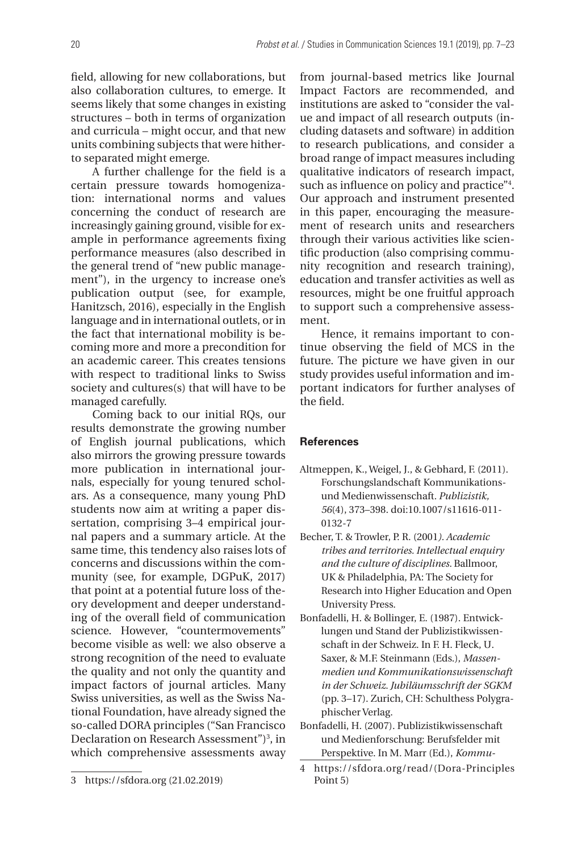field, allowing for new collaborations, but also collaboration cultures, to emerge. It seems likely that some changes in existing structures – both in terms of organization and curricula – might occur, and that new units combining subjects that were hitherto separated might emerge.

A further challenge for the field is a certain pressure towards homogenization: international norms and values concerning the conduct of research are increasingly gaining ground, visible for example in performance agreements fixing performance measures (also described in the general trend of "new public management"), in the urgency to increase one's publication output (see, for example, Hanitzsch, 2016), especially in the English language and in international outlets, or in the fact that international mobility is becoming more and more a precondition for an academic career. This creates tensions with respect to traditional links to Swiss society and cultures(s) that will have to be managed carefully.

Coming back to our initial RQs, our results demonstrate the growing number of English journal publications, which also mirrors the growing pressure towards more publication in international journals, especially for young tenured scholars. As a consequence, many young PhD students now aim at writing a paper dissertation, comprising 3–4 empirical journal papers and a summary article. At the same time, this tendency also raises lots of concerns and discussions within the community (see, for example, DGPuK, 2017) that point at a potential future loss of theory development and deeper understanding of the overall field of communication science. However, "countermovements" become visible as well: we also observe a strong recognition of the need to evaluate the quality and not only the quantity and impact factors of journal articles. Many Swiss universities, as well as the Swiss National Foundation, have already signed the so-called DORA principles ("San Francisco Declaration on Research Assessment")<sup>3</sup>, in which comprehensive assessments away

from journal-based metrics like Journal Impact Factors are recommended, and institutions are asked to "consider the value and impact of all research outputs (including datasets and software) in addition to research publications, and consider a broad range of impact measures including qualitative indicators of research impact, such as influence on policy and practice"4 . Our approach and instrument presented in this paper, encouraging the measurement of research units and researchers through their various activities like scientific production (also comprising community recognition and research training), education and transfer activities as well as resources, might be one fruitful approach to support such a comprehensive assessment.

Hence, it remains important to continue observing the field of MCS in the future. The picture we have given in our study provides useful information and important indicators for further analyses of the field.

#### **References**

- Altmeppen, K., Weigel, J., & Gebhard, F. (2011). Forschungslandschaft Kommunikationsund Medienwissenschaft*. Publizistik, 56*(4), 373–398. doi:10.1007/s11616-011- 0132-7
- Becher, T. & Trowler, P. R. (2001*). Academic tribes and territories. Intellectual enquiry and the culture of disciplines.* Ballmoor, UK & Philadelphia, PA: The Society for Research into Higher Education and Open University Press.
- Bonfadelli, H. & Bollinger, E. (1987). Entwicklungen und Stand der Publizistikwissenschaft in der Schweiz. In F. H. Fleck, U. Saxer, & M.F. Steinmann (Eds.), *Massenmedien und Kommunikationswissenschaft in der Schweiz. Jubiläumsschrift der SGKM* (pp. 3–17). Zurich, CH: Schulthess Polygraphischer Verlag.
- Bonfadelli, H. (2007). Publizistikwissenschaft und Medienforschung: Berufsfelder mit Perspektive. In M. Marr (Ed.), *Kommu-*

<sup>3</sup> https://sfdora.org (21.02.2019)

<sup>4</sup> https://sfdora.org/read/(Dora-Principles Point 5)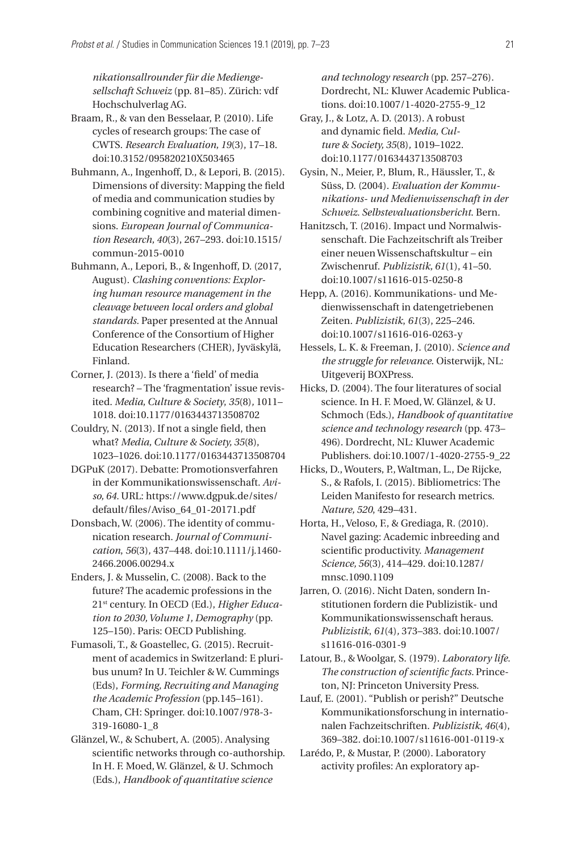*nikationsallrounder für die Mediengesellschaft Schweiz* (pp. 81–85). Zürich: vdf Hochschulverlag AG.

- Braam, R., & van den Besselaar, P. (2010). Life cycles of research groups: The case of CWTS. *Research Evaluation, 19*(3), 17–18. doi:10.3152/095820210X503465
- Buhmann, A., Ingenhoff, D., & Lepori, B. (2015). Dimensions of diversity: Mapping the field of media and communication studies by combining cognitive and material dimensions. *European Journal of Communication Research, 40*(3), 267–293. doi:10.1515/ commun-2015-0010
- Buhmann, A., Lepori, B., & Ingenhoff, D. (2017, August). *Clashing conventions: Exploring human resource management in the cleavage between local orders and global standards.* Paper presented at the Annual Conference of the Consortium of Higher Education Researchers (CHER), Jyväskylä, Finland.
- Corner, J. (2013). Is there a 'field' of media research? – The 'fragmentation' issue revisited. *Media, Culture & Society*, *35*(8)*,* 1011– 1018. doi:10.1177/0163443713508702
- Couldry, N. (2013). If not a single field, then what? *Media, Culture & Society, 35*(8), 1023–1026. doi:10.1177/0163443713508704
- DGPuK (2017). Debatte: Promotionsverfahren in der Kommunikationswissenschaft. *Aviso, 64.* URL: https://www.dgpuk.de/sites/ default/files/Aviso\_64\_01-20171.pdf
- Donsbach, W. (2006). The identity of communication research. *Journal of Communication*, *56*(3)*,* 437–448. doi:10.1111/j.1460- 2466.2006.00294.x
- Enders, J. & Musselin, C. (2008). Back to the future? The academic professions in the 21st century. In OECD (Ed.), *Higher Education to 2030, Volume 1, Demography* (pp. 125–150). Paris: OECD Publishing.
- Fumasoli, T., & Goastellec, G. (2015). Recruitment of academics in Switzerland: E pluribus unum? In U. Teichler & W. Cummings (Eds), *Forming, Recruiting and Managing the Academic Profession* (pp.145–161)*.*  Cham, CH: Springer. doi:10.1007/978-3- 319-16080-1\_8
- Glänzel, W., & Schubert, A. (2005). Analysing scientific networks through co-authorship. In H. F. Moed, W. Glänzel, & U. Schmoch (Eds.), *Handbook of quantitative science*

*and technology research* (pp. 257–276). Dordrecht, NL: Kluwer Academic Publications. doi:10.1007/1-4020-2755-9\_12

- Gray, J., & Lotz, A. D. (2013). A robust and dynamic field. *Media, Culture & Society, 35*(8)*,* 1019–1022. doi:10.1177/0163443713508703
- Gysin, N., Meier, P., Blum, R., Häussler, T., & Süss, D. (2004). *Evaluation der Kommunikations- und Medienwissenschaft in der Schweiz. Selbstevaluationsbericht*. Bern.
- Hanitzsch, T. (2016). Impact und Normalwissenschaft. Die Fachzeitschrift als Treiber einer neuen Wissenschaftskultur – ein Zwischenruf. *Publizistik, 61*(1), 41–50. doi:10.1007/s11616-015-0250-8
- Hepp, A. (2016). Kommunikations- und Medienwissenschaft in datengetriebenen Zeiten. *Publizistik*, *61*(3), 225–246. doi:10.1007/s11616-016-0263-y
- Hessels, L. K. & Freeman, J. (2010). *Science and the struggle for relevance*. Oisterwijk, NL: Uitgeverij BOXPress.
- Hicks, D. (2004). The four literatures of social science. In H. F. Moed, W. Glänzel, & U. Schmoch (Eds.), *Handbook of quantitative science and technology research* (pp. 473– 496). Dordrecht, NL: Kluwer Academic Publishers. doi:10.1007/1-4020-2755-9\_22
- Hicks, D., Wouters, P., Waltman, L., De Rijcke, S., & Rafols, I. (2015). Bibliometrics: The Leiden Manifesto for research metrics. *Nature, 520*, 429–431.
- Horta, H., Veloso, F., & Grediaga, R. (2010). Navel gazing: Academic inbreeding and scientific productivity. *Management Science, 56*(3)*,* 414–429. doi:10.1287/ mnsc.1090.1109
- Jarren, O. (2016). Nicht Daten, sondern Institutionen fordern die Publizistik- und Kommunikationswissenschaft heraus. *Publizistik*, *61*(4)*,* 373–383. doi:10.1007/ s11616-016-0301-9
- Latour, B., & Woolgar, S. (1979). *Laboratory life. The construction of scientific facts.* Princeton, NJ: Princeton University Press.
- Lauf, E. (2001). "Publish or perish?" Deutsche Kommunikationsforschung in internationalen Fachzeitschriften. *Publizistik, 46*(4), 369–382. doi:10.1007/s11616-001-0119-x
- Larédo, P., & Mustar, P. (2000). Laboratory activity profiles: An exploratory ap-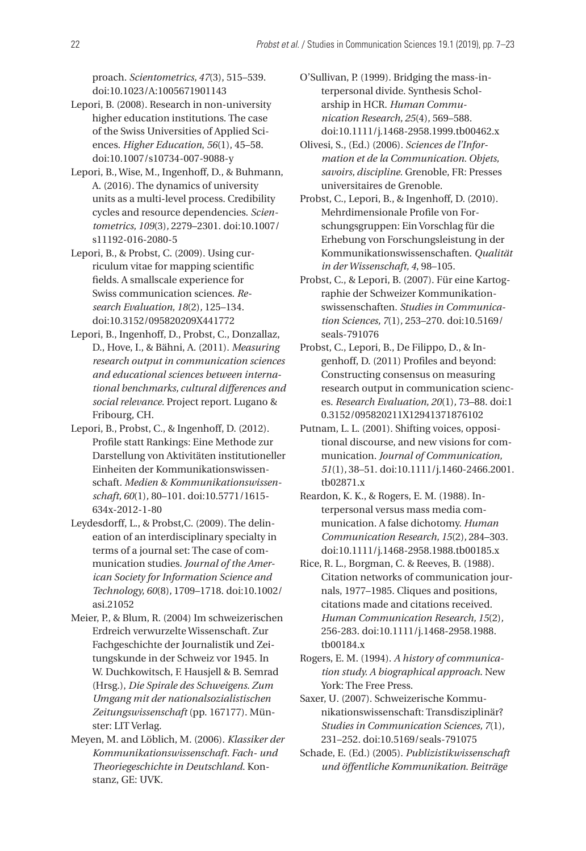proach. *Scientometrics, 47*(3), 515–539. doi:10.1023/A:1005671901143

- Lepori, B. (2008). Research in non-university higher education institutions. The case of the Swiss Universities of Applied Sciences. *Higher Education*, *56*(1), 45–58. doi:10.1007/s10734-007-9088-y
- Lepori, B., Wise, M., Ingenhoff, D., & Buhmann, A. (2016). The dynamics of university units as a multi-level process. Credibility cycles and resource dependencies. *Scientometrics, 109*(3)*,* 2279–2301. doi:10.1007/ s11192-016-2080-5
- Lepori, B., & Probst, C. (2009). Using curriculum vitae for mapping scientific fields. A smallscale experience for Swiss communication sciences. *Research Evaluation, 18*(2)*,* 125–134. doi:10.3152/095820209X441772
- Lepori, B., Ingenhoff, D., Probst, C., Donzallaz, D., Hove, I., & Bähni, A. (2011). *Measuring research output in communication sciences and educational sciences between international benchmarks, cultural differences and social relevance.* Project report. Lugano & Fribourg, CH.
- Lepori, B., Probst, C., & Ingenhoff, D. (2012). Profile statt Rankings: Eine Methode zur Darstellung von Aktivitäten institutioneller Einheiten der Kommunikationswissenschaft. *Medien & Kommunikationswissenschaft, 60*(1)*,* 80–101. doi:10.5771/1615- 634x-2012-1-80
- Leydesdorff, L., & Probst,C. (2009). The delineation of an interdisciplinary specialty in terms of a journal set: The case of communication studies. *Journal of the American Society for Information Science and Technology, 60*(8)*,* 1709–1718. doi:10.1002/ asi.21052
- Meier, P., & Blum, R. (2004) Im schweizerischen Erdreich verwurzelte Wissenschaft. Zur Fachgeschichte der Journalistik und Zeitungskunde in der Schweiz vor 1945. In W. Duchkowitsch, F. Hausjell & B. Semrad (Hrsg.), *Die Spirale des Schweigens. Zum Umgang mit der nationalsozialistischen Zeitungswissenschaft* (pp. 167177). Münster: LIT Verlag.
- Meyen, M. and Löblich, M. (2006). *Klassiker der Kommunikationswissenschaft. Fach- und Theoriegeschichte in Deutschland*. Konstanz, GE: UVK.
- O'Sullivan, P. (1999). Bridging the mass-interpersonal divide. Synthesis Scholarship in HCR. *Human Communication Research, 25*(4)*,* 569–588. doi:10.1111/j.1468-2958.1999.tb00462.x
- Olivesi, S., (Ed.) (2006). *Sciences de l'Information et de la Communication. Objets, savoirs, discipline.* Grenoble, FR: Presses universitaires de Grenoble.
- Probst, C., Lepori, B., & Ingenhoff, D. (2010). Mehrdimensionale Profile von Forschungsgruppen: Ein Vorschlag für die Erhebung von Forschungsleistung in der Kommunikationswissenschaften. *Qualität in der Wissenschaft, 4*, 98–105.
- Probst, C., & Lepori, B. (2007). Für eine Kartographie der Schweizer Kommunikationswissenschaften. *Studies in Communication Sciences, 7*(1)*,* 253–270. doi:10.5169/ seals-791076
- Probst, C., Lepori, B., De Filippo, D., & Ingenhoff, D. (2011) Profiles and beyond: Constructing consensus on measuring research output in communication sciences. *Research Evaluation, 20*(1)*,* 73–88. doi:1 0.3152/095820211X12941371876102
- Putnam, L. L. (2001). Shifting voices, oppositional discourse, and new visions for communication. *Journal of Communication, 51*(1)*,* 38–51. doi:10.1111/j.1460-2466.2001. tb02871.x
- Reardon, K. K., & Rogers, E. M. (1988). Interpersonal versus mass media communication. A false dichotomy. *Human Communication Research, 15*(2)*,* 284–303. doi:10.1111/j.1468-2958.1988.tb00185.x
- Rice, R. L., Borgman, C. & Reeves, B. (1988). Citation networks of communication journals, 1977–1985. Cliques and positions, citations made and citations received. *Human Communication Research, 15*(2)*,* 256-283. doi:10.1111/j.1468-2958.1988. tb00184.x
- Rogers, E. M. (1994). *A history of communication study. A biographical approach*. New York: The Free Press.
- Saxer, U. (2007). Schweizerische Kommunikationswissenschaft: Transdisziplinär? *Studies in Communication Sciences, 7*(1)*,* 231–252. doi:10.5169/seals-791075
- Schade, E. (Ed.) (2005). *Publizistikwissenschaft und öffentliche Kommunikation. Beiträge*